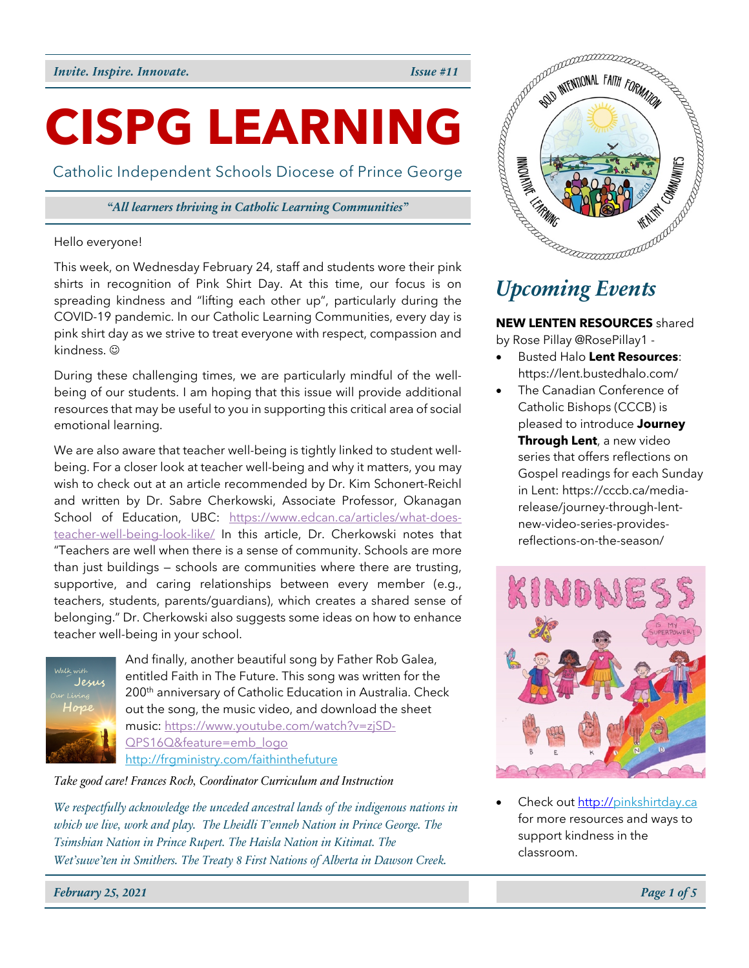# **CISPG LEARNING**

Catholic Independent Schools Diocese of Prince George

## *"All learners thriving in Catholic Learning Communities"*

## Hello everyone!

This week, on Wednesday February 24, staff and students wore their pink shirts in recognition of Pink Shirt Day. At this time, our focus is on spreading kindness and "lifting each other up", particularly during the COVID-19 pandemic. In our Catholic Learning Communities, every day is pink shirt day as we strive to treat everyone with respect, compassion and kindness. @

During these challenging times, we are particularly mindful of the wellbeing of our students. I am hoping that this issue will provide additional resources that may be useful to you in supporting this critical area of social emotional learning.

We are also aware that teacher well-being is tightly linked to student wellbeing. For a closer look at teacher well-being and why it matters, you may wish to check out at an article recommended by Dr. Kim Schonert-Reichl and written by Dr. Sabre Cherkowski, Associate Professor, Okanagan School of Education, UBC: https://www.edcan.ca/articles/what-doesteacher-well-being-look-like/ In this article, Dr. Cherkowski notes that "Teachers are well when there is a sense of community. Schools are more than just buildings — schools are communities where there are trusting, supportive, and caring relationships between every member (e.g., teachers, students, parents/guardians), which creates a shared sense of belonging." Dr. Cherkowski also suggests some ideas on how to enhance teacher well-being in your school.



And finally, another beautiful song by Father Rob Galea, entitled Faith in The Future. This song was written for the 200<sup>th</sup> anniversary of Catholic Education in Australia. Check out the song, the music video, and download the sheet music: https://www.youtube.com/watch?v=zjSD-QPS16Q&feature=emb\_logo http://frgministry.com/faithinthefuture

*Take good care! Frances Roch, Coordinator Curriculum and Instruction*

*We respectfully acknowledge the unceded ancestral lands of the indigenous nations in which we live, work and play. The Lheidli T'enneh Nation in Prince George. The Tsimshian Nation in Prince Rupert. The Haisla Nation in Kitimat. The Wet'suwe'ten in Smithers. The Treaty 8 First Nations of Alberta in Dawson Creek.*



## *Upcoming Events*

**NEW LENTEN RESOURCES** shared by Rose Pillay @RosePillay1 -

- Busted Halo **Lent Resources**: https://lent.bustedhalo.com/
- The Canadian Conference of Catholic Bishops (CCCB) is pleased to introduce **Journey Through Lent**, a new video series that offers reflections on Gospel readings for each Sunday in Lent: https://cccb.ca/mediarelease/journey-through-lentnew-video-series-providesreflections-on-the-season/



• Check out http://pinkshirtday.ca for more resources and ways to support kindness in the classroom.

*February 25, 2021 Page 1 of 5*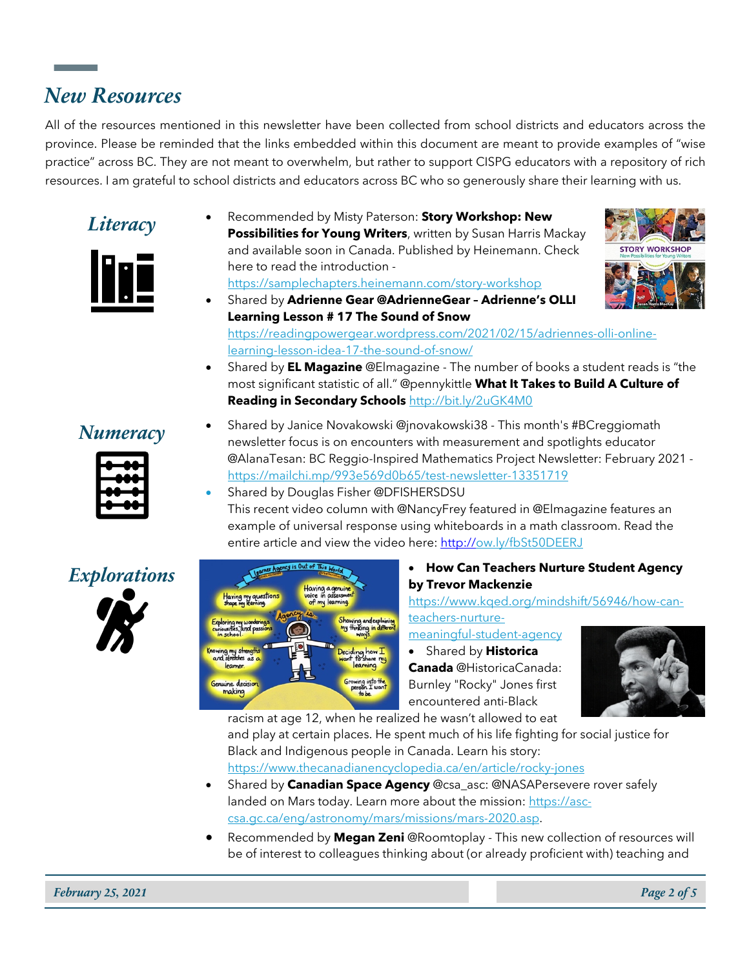## *New Resources*

All of the resources mentioned in this newsletter have been collected from school districts and educators across the province. Please be reminded that the links embedded within this document are meant to provide examples of "wise practice" across BC. They are not meant to overwhelm, but rather to support CISPG educators with a repository of rich resources. I am grateful to school districts and educators across BC who so generously share their learning with us.



*Literacy* • Recommended by Misty Paterson: **Story Workshop: New Possibilities for Young Writers**, written by Susan Harris Mackay and available soon in Canada. Published by Heinemann. Check here to read the introduction https://samplechapters.heinemann.com/story-workshop



- Shared by **Adrienne Gear @AdrienneGear – Adrienne's OLLI Learning Lesson # 17 The Sound of Snow**  https://readingpowergear.wordpress.com/2021/02/15/adriennes-olli-onlinelearning-lesson-idea-17-the-sound-of-snow/
	- Shared by **EL Magazine** @Elmagazine The number of books a student reads is "the most significant statistic of all." @pennykittle **What It Takes to Build A Culture of Reading in Secondary Schools** http://bit.ly/2uGK4M0



- **Numeracy** Shared by Janice Novakowski @jnovakowski38 This month's #BCreggiomath newsletter focus is on encounters with measurement and spotlights educator @AlanaTesan: BC Reggio-Inspired Mathematics Project Newsletter: February 2021 https://mailchi.mp/993e569d0b65/test-newsletter-13351719
	- Shared by Douglas Fisher @DFISHERSDSU This recent video column with @NancyFrey featured in @Elmagazine features an example of universal response using whiteboards in a math classroom. Read the entire article and view the video here: http://ow.ly/fbSt50DEERJ



**by Trevor Mackenzie**

## https://www.kqed.org/mindshift/56946/how-canteachers-nurture-

meaningful-student-agency

• Shared by **Historica Canada** @HistoricaCanada: Burnley "Rocky" Jones first encountered anti-Black



racism at age 12, when he realized he wasn't allowed to eat

and play at certain places. He spent much of his life fighting for social justice for Black and Indigenous people in Canada. Learn his story:

https://www.thecanadianencyclopedia.ca/en/article/rocky-jones

- Shared by **Canadian Space Agency** @csa\_asc: @NASAPersevere rover safely landed on Mars today. Learn more about the mission: https://asccsa.gc.ca/eng/astronomy/mars/missions/mars-2020.asp.
- Recommended by **Megan Zeni** @Roomtoplay This new collection of resources will be of interest to colleagues thinking about (or already proficient with) teaching and



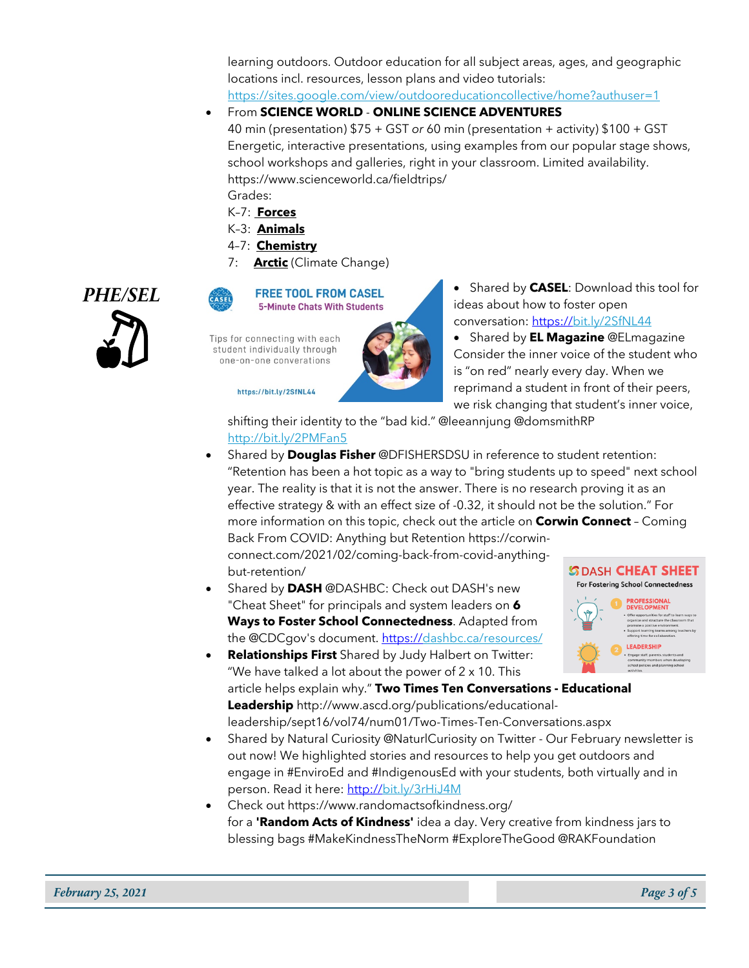learning outdoors. Outdoor education for all subject areas, ages, and geographic locations incl. resources, lesson plans and video tutorials:

https://sites.google.com/view/outdooreducationcollective/home?authuser=1

- From **SCIENCE WORLD ONLINE SCIENCE ADVENTURES** 40 min (presentation) \$75 + GST *or* 60 min (presentation + activity) \$100 + GST Energetic, interactive presentations, using examples from our popular stage shows, school workshops and galleries, right in your classroom. Limited availability. https://www.scienceworld.ca/fieldtrips/ Grades:
	- K–7: **Forces**
	- K–3: **Animals**
	- 4–7: **Chemistry**
	- 7: **Arctic** (Climate Change)





Tips for connecting with each student individually through one-on-one converations

### https://bit.ly/2SfNL44

**PHE/SEL •** Shared by CASEL: Download this tool for **PHE/SEL** • Shared by CASEL: Download this tool for ideas about how to foster open ideas about how to foster open conversation: https://bit.ly/2SfNL44

> • Shared by **EL Magazine** @ELmagazine Consider the inner voice of the student who is "on red" nearly every day. When we reprimand a student in front of their peers, we risk changing that student's inner voice,

shifting their identity to the "bad kid." @leeannjung @domsmithRP http://bit.ly/2PMFan5

- Shared by **Douglas Fisher** @DFISHERSDSU in reference to student retention: "Retention has been a hot topic as a way to "bring students up to speed" next school year. The reality is that it is not the answer. There is no research proving it as an effective strategy & with an effect size of -0.32, it should not be the solution." For more information on this topic, check out the article on **Corwin Connect** – Coming Back From COVID: Anything but Retention https://corwinconnect.com/2021/02/coming-back-from-covid-anythingbut-retention/ **SDASH CHEAT SHEET**
- Shared by **DASH** @DASHBC: Check out DASH's new "Cheat Sheet" for principals and system leaders on **6 Ways to Foster School Connectedness**. Adapted from the @CDCgov's document. https://dashbc.ca/resources/
	- **LEADERSHIP** • **Relationships First** Shared by Judy Halbert on Twitter: "We have talked a lot about the power of  $2 \times 10$ . This

article helps explain why." **Two Times Ten Conversations - Educational Leadership** http://www.ascd.org/publications/educationalleadership/sept16/vol74/num01/Two-Times-Ten-Conversations.aspx

- Shared by Natural Curiosity @NaturlCuriosity on Twitter Our February newsletter is out now! We highlighted stories and resources to help you get outdoors and engage in #EnviroEd and #IndigenousEd with your students, both virtually and in person. Read it here: http://bit.ly/3rHiJ4M
- Check out https://www.randomactsofkindness.org/ for a **'Random Acts of Kindness'** idea a day. Very creative from kindness jars to blessing bags #MakeKindnessTheNorm #ExploreTheGood @RAKFoundation

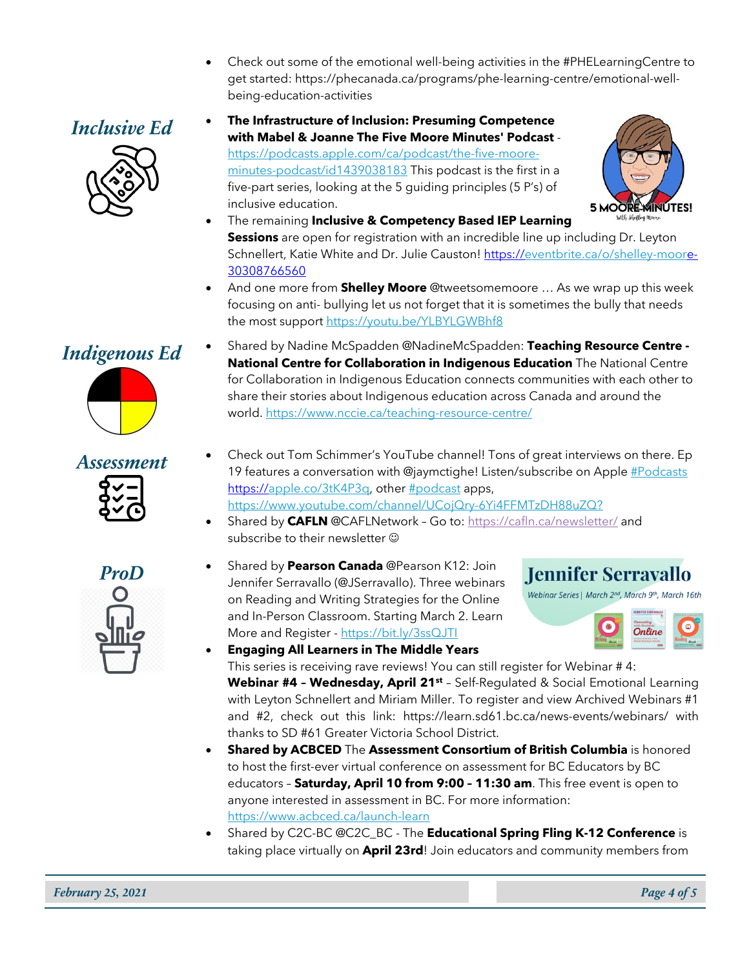- Check out some of the emotional well-being activities in the #PHELearningCentre to get started: https://phecanada.ca/programs/phe-learning-centre/emotional-wellbeing-education-activities
- 







- The remaining **Inclusive & Competency Based IEP Learning Sessions** are open for registration with an incredible line up including Dr. Leyton Schnellert, Katie White and Dr. Julie Causton! https://eventbrite.ca/o/shelley-moore-30308766560
- And one more from **Shelley Moore** @tweetsomemoore … As we wrap up this week focusing on anti- bullying let us not forget that it is sometimes the bully that needs the most support https://youtu.be/YLBYLGWBhf8





- *Indigenous Ed* Shared by Nadine McSpadden @NadineMcSpadden: **Teaching Resource Centre - National Centre for Collaboration in Indigenous Education** The National Centre for Collaboration in Indigenous Education connects communities with each other to share their stories about Indigenous education across Canada and around the world. https://www.nccie.ca/teaching-resource-centre/
	- **Assessment** Check out Tom Schimmer's YouTube channel! Tons of great interviews on there. Ep 19 features a conversation with @jaymctighe! Listen/subscribe on Apple #Podcasts https://apple.co/3tK4P3q, other #podcast apps, https://www.youtube.com/channel/UCojQry-6Yi4FFMTzDH88uZQ?
		- Shared by **CAFLN** @CAFLNetwork Go to: https://cafln.ca/newsletter/ and subscribe to their newsletter  $\odot$
		- **ProD** Shared by **Pearson Canada** @Pearson K12: Join Jennifer Serravallo (@JSerravallo). Three webinars on Reading and Writing Strategies for the Online and In-Person Classroom. Starting March 2. Learn More and Register - https://bit.ly/3ssQJTI





• **Engaging All Learners in The Middle Years** This series is receiving rave reviews! You can still register for Webinar # 4:

**Webinar #4 – Wednesday, April 21st** – Self-Regulated & Social Emotional Learning with Leyton Schnellert and Miriam Miller. To register and view Archived Webinars #1 and #2, check out this link: https://learn.sd61.bc.ca/news-events/webinars/ with thanks to SD #61 Greater Victoria School District.

- **Shared by ACBCED** The **Assessment Consortium of British Columbia** is honored to host the first-ever virtual conference on assessment for BC Educators by BC educators – **Saturday, April 10 from 9:00 – 11:30 am**. This free event is open to anyone interested in assessment in BC. For more information: https://www.acbced.ca/launch-learn
- Shared by C2C-BC @C2C\_BC The **Educational Spring Fling K-12 Conference** is taking place virtually on **April 23rd**! Join educators and community members from